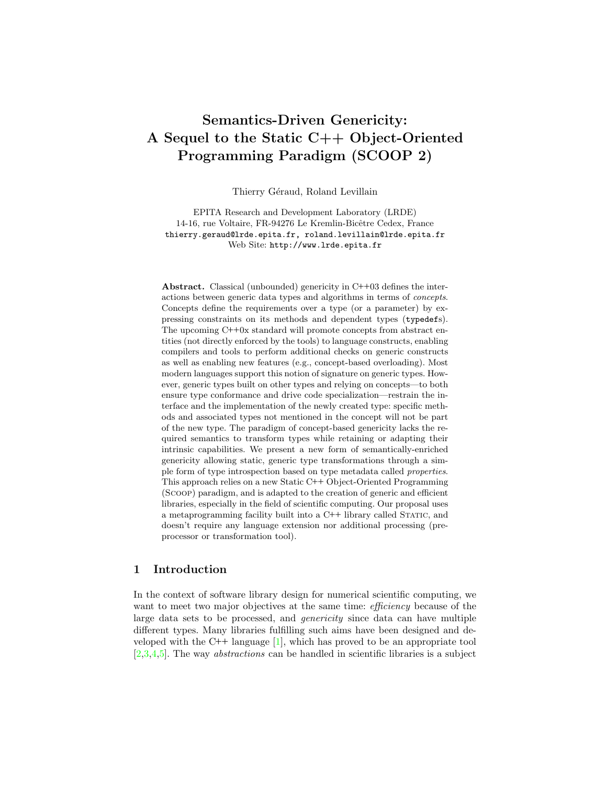# Semantics-Driven Genericity: A Sequel to the Static C++ Object-Oriented Programming Paradigm (SCOOP 2)

Thierry Géraud, Roland Levillain

EPITA Research and Development Laboratory (LRDE) 14-16, rue Voltaire, FR-94276 Le Kremlin-Bicêtre Cedex, France thierry.geraud@lrde.epita.fr, roland.levillain@lrde.epita.fr Web Site: http://www.lrde.epita.fr

Abstract. Classical (unbounded) genericity in C++03 defines the interactions between generic data types and algorithms in terms of concepts. Concepts define the requirements over a type (or a parameter) by expressing constraints on its methods and dependent types (typedefs). The upcoming C++0x standard will promote concepts from abstract entities (not directly enforced by the tools) to language constructs, enabling compilers and tools to perform additional checks on generic constructs as well as enabling new features (e.g., concept-based overloading). Most modern languages support this notion of signature on generic types. However, generic types built on other types and relying on concepts—to both ensure type conformance and drive code specialization—restrain the interface and the implementation of the newly created type: specific methods and associated types not mentioned in the concept will not be part of the new type. The paradigm of concept-based genericity lacks the required semantics to transform types while retaining or adapting their intrinsic capabilities. We present a new form of semantically-enriched genericity allowing static, generic type transformations through a simple form of type introspection based on type metadata called properties. This approach relies on a new Static C++ Object-Oriented Programming (Scoop) paradigm, and is adapted to the creation of generic and efficient libraries, especially in the field of scientific computing. Our proposal uses a metaprogramming facility built into a C++ library called Static, and doesn't require any language extension nor additional processing (preprocessor or transformation tool).

# 1 Introduction

In the context of software library design for numerical scientific computing, we want to meet two major objectives at the same time: *efficiency* because of the large data sets to be processed, and genericity since data can have multiple different types. Many libraries fulfilling such aims have been designed and developed with the C++ language  $[1]$ , which has proved to be an appropriate tool [\[2,](#page-27-1)[3](#page-27-2)[,4,](#page-27-3)[5\]](#page-27-4). The way abstractions can be handled in scientific libraries is a subject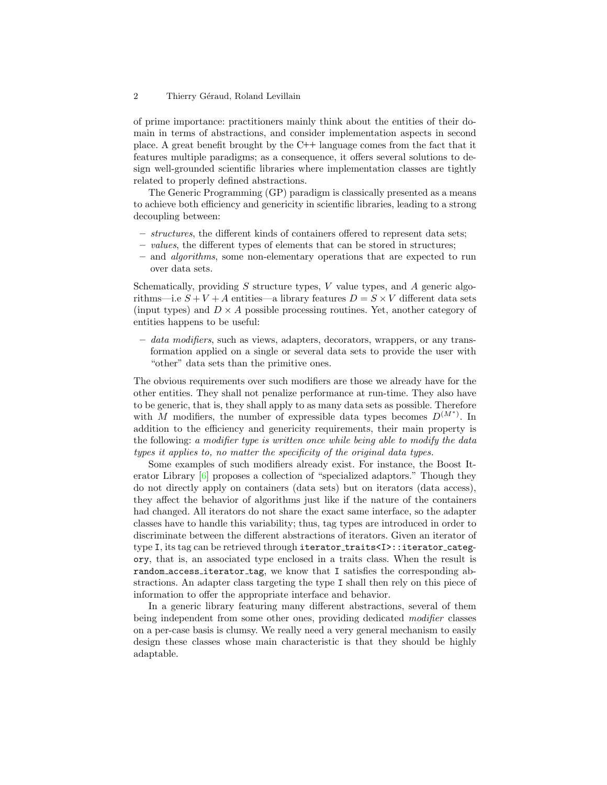of prime importance: practitioners mainly think about the entities of their domain in terms of abstractions, and consider implementation aspects in second place. A great benefit brought by the C++ language comes from the fact that it features multiple paradigms; as a consequence, it offers several solutions to design well-grounded scientific libraries where implementation classes are tightly related to properly defined abstractions.

The Generic Programming (GP) paradigm is classically presented as a means to achieve both efficiency and genericity in scientific libraries, leading to a strong decoupling between:

- structures, the different kinds of containers offered to represent data sets;
- values, the different types of elements that can be stored in structures;
- and algorithms, some non-elementary operations that are expected to run over data sets.

Schematically, providing  $S$  structure types,  $V$  value types, and  $A$  generic algorithms—i.e  $S + V + A$  entities—a library features  $D = S \times V$  different data sets (input types) and  $D \times A$  possible processing routines. Yet, another category of entities happens to be useful:

– data modifiers, such as views, adapters, decorators, wrappers, or any transformation applied on a single or several data sets to provide the user with "other" data sets than the primitive ones.

The obvious requirements over such modifiers are those we already have for the other entities. They shall not penalize performance at run-time. They also have to be generic, that is, they shall apply to as many data sets as possible. Therefore with M modifiers, the number of expressible data types becomes  $D^{(M^*)}$ . In addition to the efficiency and genericity requirements, their main property is the following: a modifier type is written once while being able to modify the data types it applies to, no matter the specificity of the original data types.

Some examples of such modifiers already exist. For instance, the Boost Iterator Library [\[6\]](#page-27-5) proposes a collection of "specialized adaptors." Though they do not directly apply on containers (data sets) but on iterators (data access), they affect the behavior of algorithms just like if the nature of the containers had changed. All iterators do not share the exact same interface, so the adapter classes have to handle this variability; thus, tag types are introduced in order to discriminate between the different abstractions of iterators. Given an iterator of type I, its tag can be retrieved through iterator\_traits<I>::iterator\_category, that is, an associated type enclosed in a traits class. When the result is random access iterator tag, we know that I satisfies the corresponding abstractions. An adapter class targeting the type I shall then rely on this piece of information to offer the appropriate interface and behavior.

In a generic library featuring many different abstractions, several of them being independent from some other ones, providing dedicated modifier classes on a per-case basis is clumsy. We really need a very general mechanism to easily design these classes whose main characteristic is that they should be highly adaptable.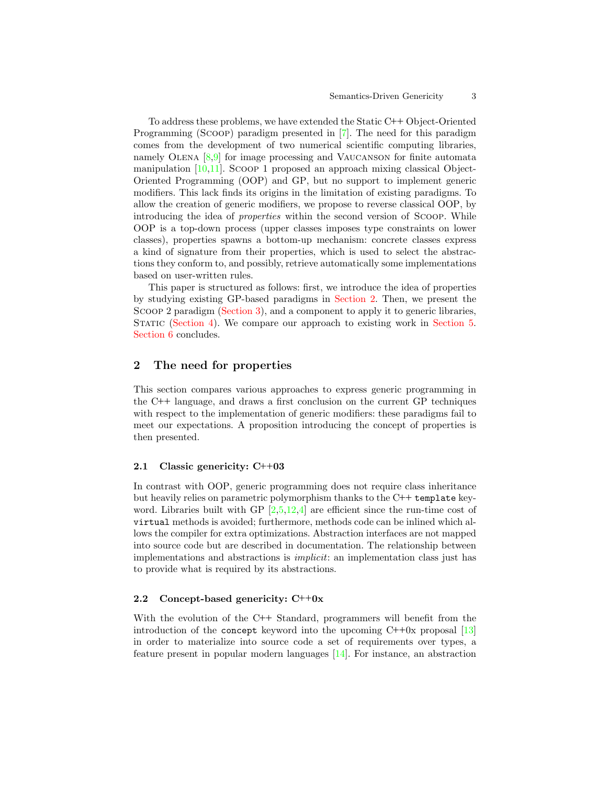To address these problems, we have extended the Static C++ Object-Oriented Programming (Scoop) paradigm presented in [\[7\]](#page-27-6). The need for this paradigm comes from the development of two numerical scientific computing libraries, namely OLENA  $[8,9]$  $[8,9]$  for image processing and VAUCANSON for finite automata manipulation [\[10,](#page-27-9)[11\]](#page-27-10). Scoop 1 proposed an approach mixing classical Object-Oriented Programming (OOP) and GP, but no support to implement generic modifiers. This lack finds its origins in the limitation of existing paradigms. To allow the creation of generic modifiers, we propose to reverse classical OOP, by introducing the idea of properties within the second version of Scoop. While OOP is a top-down process (upper classes imposes type constraints on lower classes), properties spawns a bottom-up mechanism: concrete classes express a kind of signature from their properties, which is used to select the abstractions they conform to, and possibly, retrieve automatically some implementations based on user-written rules.

This paper is structured as follows: first, we introduce the idea of properties by studying existing GP-based paradigms in [Section 2.](#page-2-0) Then, we present the Scoop 2 paradigm [\(Section 3\)](#page-5-0), and a component to apply it to generic libraries, STATIC [\(Section 4\)](#page-20-0). We compare our approach to existing work in [Section 5.](#page-25-0) [Section 6](#page-26-0) concludes.

# <span id="page-2-0"></span>2 The need for properties

This section compares various approaches to express generic programming in the C++ language, and draws a first conclusion on the current GP techniques with respect to the implementation of generic modifiers: these paradigms fail to meet our expectations. A proposition introducing the concept of properties is then presented.

### 2.1 Classic genericity: C++03

In contrast with OOP, generic programming does not require class inheritance but heavily relies on parametric polymorphism thanks to the  $C++$  template keyword. Libraries built with GP  $[2.5,12.4]$  $[2.5,12.4]$  $[2.5,12.4]$  are efficient since the run-time cost of virtual methods is avoided; furthermore, methods code can be inlined which allows the compiler for extra optimizations. Abstraction interfaces are not mapped into source code but are described in documentation. The relationship between implementations and abstractions is implicit: an implementation class just has to provide what is required by its abstractions.

### <span id="page-2-1"></span>2.2 Concept-based genericity: C++0x

With the evolution of the C++ Standard, programmers will benefit from the introduction of the concept keyword into the upcoming  $C+0x$  proposal [\[13\]](#page-27-12) in order to materialize into source code a set of requirements over types, a feature present in popular modern languages [\[14\]](#page-27-13). For instance, an abstraction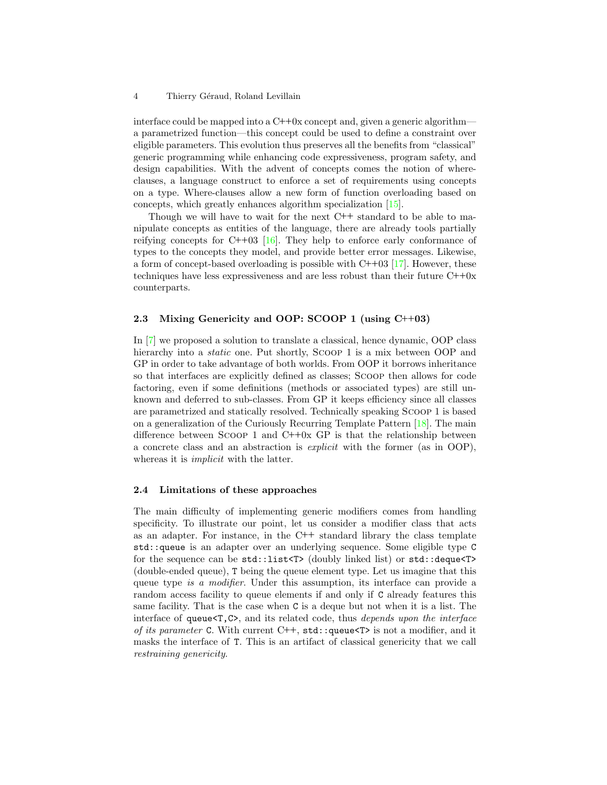interface could be mapped into a  $C++0x$  concept and, given a generic algorithm a parametrized function—this concept could be used to define a constraint over eligible parameters. This evolution thus preserves all the benefits from "classical" generic programming while enhancing code expressiveness, program safety, and design capabilities. With the advent of concepts comes the notion of whereclauses, a language construct to enforce a set of requirements using concepts on a type. Where-clauses allow a new form of function overloading based on concepts, which greatly enhances algorithm specialization [\[15\]](#page-27-14).

Though we will have to wait for the next C++ standard to be able to manipulate concepts as entities of the language, there are already tools partially reifying concepts for C++03 [\[16\]](#page-28-0). They help to enforce early conformance of types to the concepts they model, and provide better error messages. Likewise, a form of concept-based overloading is possible with  $C++03$  [\[17\]](#page-28-1). However, these techniques have less expressiveness and are less robust than their future  $C++0x$ counterparts.

### 2.3 Mixing Genericity and OOP: SCOOP 1 (using C++03)

In [\[7\]](#page-27-6) we proposed a solution to translate a classical, hence dynamic, OOP class hierarchy into a *static* one. Put shortly, SCOOP 1 is a mix between OOP and GP in order to take advantage of both worlds. From OOP it borrows inheritance so that interfaces are explicitly defined as classes; Scoop then allows for code factoring, even if some definitions (methods or associated types) are still unknown and deferred to sub-classes. From GP it keeps efficiency since all classes are parametrized and statically resolved. Technically speaking Scoop 1 is based on a generalization of the Curiously Recurring Template Pattern [\[18\]](#page-28-2). The main difference between Scoop 1 and C++0x GP is that the relationship between a concrete class and an abstraction is explicit with the former (as in OOP), whereas it is *implicit* with the latter.

### 2.4 Limitations of these approaches

The main difficulty of implementing generic modifiers comes from handling specificity. To illustrate our point, let us consider a modifier class that acts as an adapter. For instance, in the C++ standard library the class template std::queue is an adapter over an underlying sequence. Some eligible type C for the sequence can be std::list<T> (doubly linked list) or std::deque<T> (double-ended queue), T being the queue element type. Let us imagine that this queue type is a modifier. Under this assumption, its interface can provide a random access facility to queue elements if and only if C already features this same facility. That is the case when C is a deque but not when it is a list. The interface of queue<T,C>, and its related code, thus depends upon the interface of its parameter C. With current C++,  $std$ ::queue<T> is not a modifier, and it masks the interface of T. This is an artifact of classical genericity that we call restraining genericity.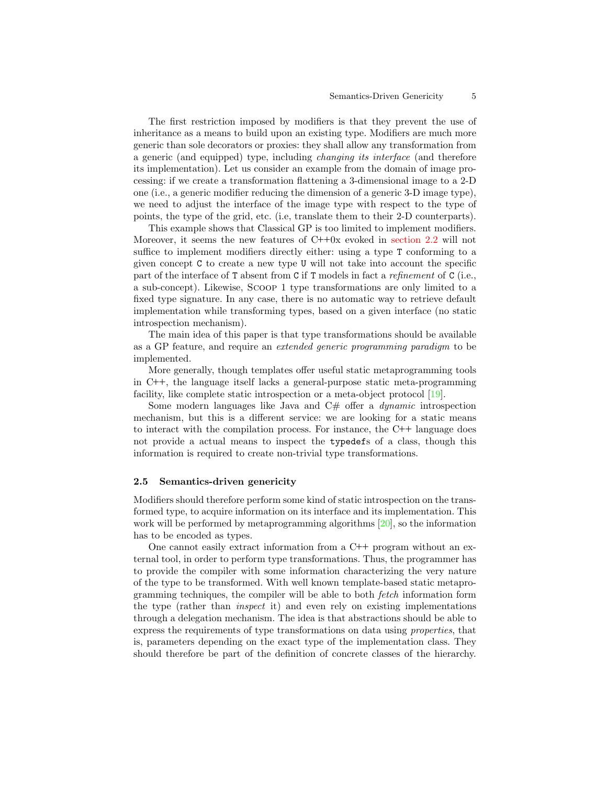The first restriction imposed by modifiers is that they prevent the use of inheritance as a means to build upon an existing type. Modifiers are much more generic than sole decorators or proxies: they shall allow any transformation from a generic (and equipped) type, including changing its interface (and therefore its implementation). Let us consider an example from the domain of image processing: if we create a transformation flattening a 3-dimensional image to a 2-D one (i.e., a generic modifier reducing the dimension of a generic 3-D image type), we need to adjust the interface of the image type with respect to the type of points, the type of the grid, etc. (i.e, translate them to their 2-D counterparts).

This example shows that Classical GP is too limited to implement modifiers. Moreover, it seems the new features of C++0x evoked in [section 2.2](#page-2-1) will not suffice to implement modifiers directly either: using a type T conforming to a given concept C to create a new type U will not take into account the specific part of the interface of T absent from C if T models in fact a refinement of C (i.e., a sub-concept). Likewise, Scoop 1 type transformations are only limited to a fixed type signature. In any case, there is no automatic way to retrieve default implementation while transforming types, based on a given interface (no static introspection mechanism).

The main idea of this paper is that type transformations should be available as a GP feature, and require an extended generic programming paradigm to be implemented.

More generally, though templates offer useful static metaprogramming tools in C++, the language itself lacks a general-purpose static meta-programming facility, like complete static introspection or a meta-object protocol [\[19\]](#page-28-3).

Some modern languages like Java and  $C#$  offer a *dynamic* introspection mechanism, but this is a different service: we are looking for a static means to interact with the compilation process. For instance, the C++ language does not provide a actual means to inspect the typedefs of a class, though this information is required to create non-trivial type transformations.

#### 2.5 Semantics-driven genericity

Modifiers should therefore perform some kind of static introspection on the transformed type, to acquire information on its interface and its implementation. This work will be performed by metaprogramming algorithms  $[20]$ , so the information has to be encoded as types.

One cannot easily extract information from a  $C++$  program without an external tool, in order to perform type transformations. Thus, the programmer has to provide the compiler with some information characterizing the very nature of the type to be transformed. With well known template-based static metaprogramming techniques, the compiler will be able to both fetch information form the type (rather than inspect it) and even rely on existing implementations through a delegation mechanism. The idea is that abstractions should be able to express the requirements of type transformations on data using properties, that is, parameters depending on the exact type of the implementation class. They should therefore be part of the definition of concrete classes of the hierarchy.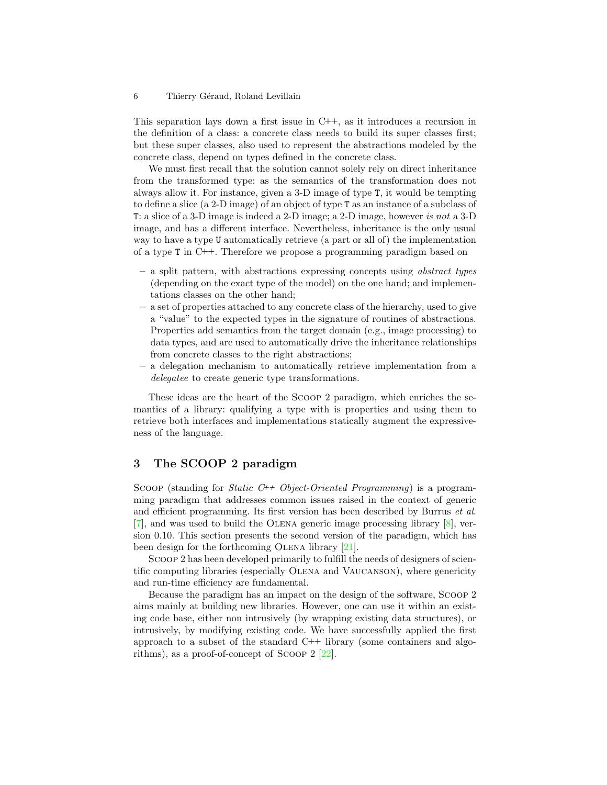This separation lays down a first issue in C++, as it introduces a recursion in the definition of a class: a concrete class needs to build its super classes first; but these super classes, also used to represent the abstractions modeled by the concrete class, depend on types defined in the concrete class.

We must first recall that the solution cannot solely rely on direct inheritance from the transformed type: as the semantics of the transformation does not always allow it. For instance, given a 3-D image of type T, it would be tempting to define a slice (a 2-D image) of an object of type T as an instance of a subclass of T: a slice of a 3-D image is indeed a 2-D image; a 2-D image, however is not a 3-D image, and has a different interface. Nevertheless, inheritance is the only usual way to have a type U automatically retrieve (a part or all of) the implementation of a type T in C++. Therefore we propose a programming paradigm based on

- a split pattern, with abstractions expressing concepts using abstract types (depending on the exact type of the model) on the one hand; and implementations classes on the other hand;
- a set of properties attached to any concrete class of the hierarchy, used to give a "value" to the expected types in the signature of routines of abstractions. Properties add semantics from the target domain (e.g., image processing) to data types, and are used to automatically drive the inheritance relationships from concrete classes to the right abstractions;
- a delegation mechanism to automatically retrieve implementation from a delegatee to create generic type transformations.

These ideas are the heart of the Scoop 2 paradigm, which enriches the semantics of a library: qualifying a type with is properties and using them to retrieve both interfaces and implementations statically augment the expressiveness of the language.

# <span id="page-5-0"></span>3 The SCOOP 2 paradigm

SCOOP (standing for *Static C++ Object-Oriented Programming*) is a programming paradigm that addresses common issues raised in the context of generic and efficient programming. Its first version has been described by Burrus et al.  $[7]$ , and was used to build the OLENA generic image processing library  $[8]$ , version 0.10. This section presents the second version of the paradigm, which has been design for the forthcoming OLENA library [\[21\]](#page-28-5).

Scoop 2 has been developed primarily to fulfill the needs of designers of scientific computing libraries (especially Olena and Vaucanson), where genericity and run-time efficiency are fundamental.

Because the paradigm has an impact on the design of the software, Scoop 2 aims mainly at building new libraries. However, one can use it within an existing code base, either non intrusively (by wrapping existing data structures), or intrusively, by modifying existing code. We have successfully applied the first approach to a subset of the standard C++ library (some containers and algorithms), as a proof-of-concept of Scoop 2 [\[22\]](#page-28-6).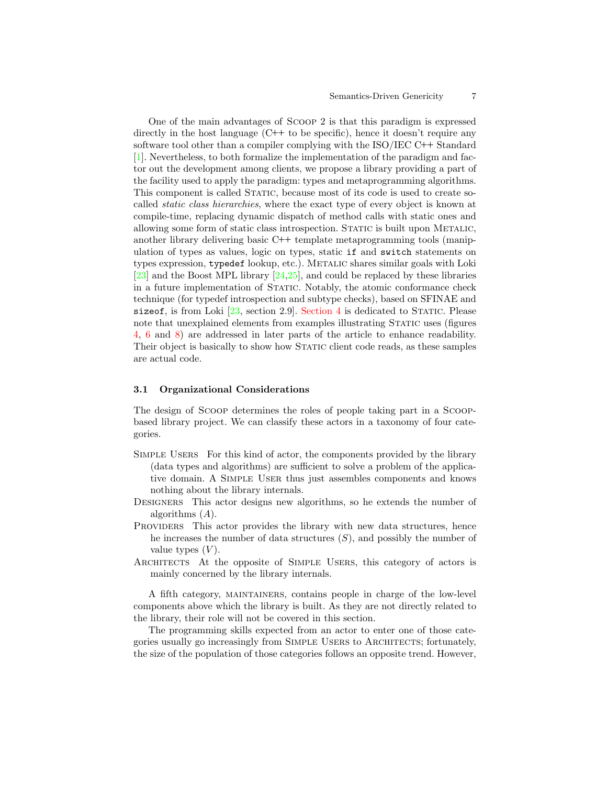#### Semantics-Driven Genericity 7

One of the main advantages of Scoop 2 is that this paradigm is expressed directly in the host language  $(C^{++}$  to be specific), hence it doesn't require any software tool other than a compiler complying with the ISO/IEC C++ Standard [\[1\]](#page-27-0). Nevertheless, to both formalize the implementation of the paradigm and factor out the development among clients, we propose a library providing a part of the facility used to apply the paradigm: types and metaprogramming algorithms. This component is called STATIC, because most of its code is used to create socalled static class hierarchies, where the exact type of every object is known at compile-time, replacing dynamic dispatch of method calls with static ones and allowing some form of static class introspection. STATIC is built upon METALIC, another library delivering basic C++ template metaprogramming tools (manipulation of types as values, logic on types, static if and switch statements on types expression, typedef lookup, etc.). METALIC shares similar goals with Loki  $[23]$  and the Boost MPL library  $[24,25]$  $[24,25]$ , and could be replaced by these libraries in a future implementation of STATIC. Notably, the atomic conformance check technique (for typedef introspection and subtype checks), based on SFINAE and sizeof, is from Loki  $[23, \text{ section } 2.9]$  $[23, \text{ section } 2.9]$ . [Section 4](#page-20-0) is dedicated to STATIC. Please note that unexplained elements from examples illustrating STATIC uses (figures [4,](#page-10-0) [6](#page-12-0) and [8\)](#page-19-0) are addressed in later parts of the article to enhance readability. Their object is basically to show how STATIC client code reads, as these samples are actual code.

#### 3.1 Organizational Considerations

The design of Scoop determines the roles of people taking part in a Scoopbased library project. We can classify these actors in a taxonomy of four categories.

- Simple Users For this kind of actor, the components provided by the library (data types and algorithms) are sufficient to solve a problem of the applicative domain. A Simple User thus just assembles components and knows nothing about the library internals.
- Designers This actor designs new algorithms, so he extends the number of algorithms  $(A)$ .
- Providers This actor provides the library with new data structures, hence he increases the number of data structures  $(S)$ , and possibly the number of value types  $(V)$ .
- ARCHITECTS At the opposite of SIMPLE USERS, this category of actors is mainly concerned by the library internals.

A fifth category, maintainers, contains people in charge of the low-level components above which the library is built. As they are not directly related to the library, their role will not be covered in this section.

The programming skills expected from an actor to enter one of those categories usually go increasingly from SIMPLE USERS to ARCHITECTS; fortunately, the size of the population of those categories follows an opposite trend. However,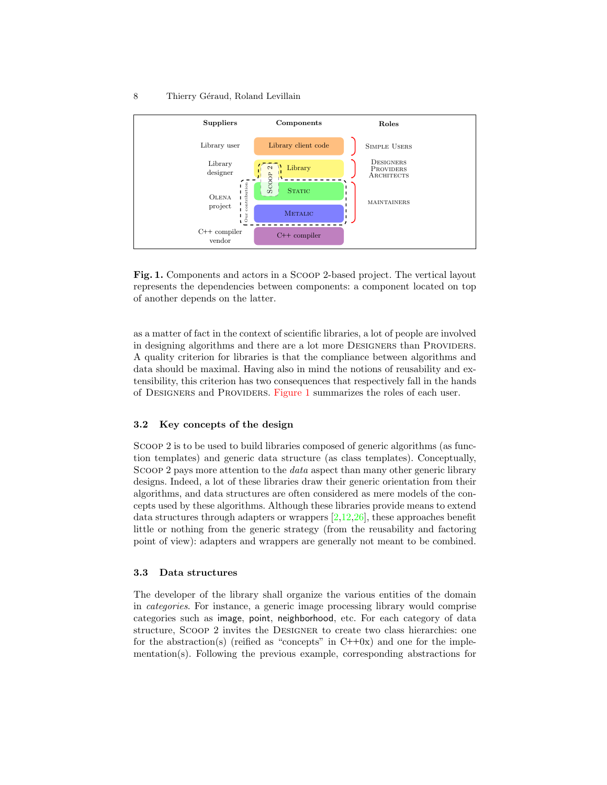

<span id="page-7-0"></span>Fig. 1. Components and actors in a Scoop 2-based project. The vertical layout represents the dependencies between components: a component located on top of another depends on the latter.

as a matter of fact in the context of scientific libraries, a lot of people are involved in designing algorithms and there are a lot more Designers than Providers. A quality criterion for libraries is that the compliance between algorithms and data should be maximal. Having also in mind the notions of reusability and extensibility, this criterion has two consequences that respectively fall in the hands of Designers and Providers. [Figure 1](#page-7-0) summarizes the roles of each user.

# 3.2 Key concepts of the design

Scoop 2 is to be used to build libraries composed of generic algorithms (as function templates) and generic data structure (as class templates). Conceptually, Scoop 2 pays more attention to the data aspect than many other generic library designs. Indeed, a lot of these libraries draw their generic orientation from their algorithms, and data structures are often considered as mere models of the concepts used by these algorithms. Although these libraries provide means to extend data structures through adapters or wrappers [\[2,](#page-27-1)[12](#page-27-11)[,26\]](#page-28-10), these approaches benefit little or nothing from the generic strategy (from the reusability and factoring point of view): adapters and wrappers are generally not meant to be combined.

### 3.3 Data structures

The developer of the library shall organize the various entities of the domain in categories. For instance, a generic image processing library would comprise categories such as image, point, neighborhood, etc. For each category of data structure, Scoop 2 invites the Designer to create two class hierarchies: one for the abstraction(s) (reified as "concepts" in  $C++0x$ ) and one for the implementation(s). Following the previous example, corresponding abstractions for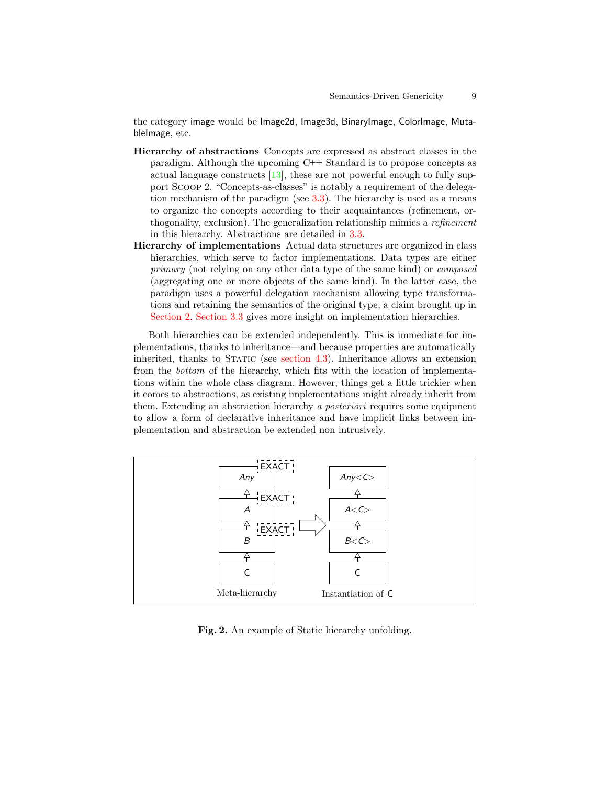the category image would be Image2d, Image3d, BinaryImage, ColorImage, MutableImage, etc.

- Hierarchy of abstractions Concepts are expressed as abstract classes in the paradigm. Although the upcoming C++ Standard is to propose concepts as actual language constructs  $[13]$ , these are not powerful enough to fully support Scoop 2. "Concepts-as-classes" is notably a requirement of the delegation mechanism of the paradigm (see [3.3\)](#page-16-0). The hierarchy is used as a means to organize the concepts according to their acquaintances (refinement, orthogonality, exclusion). The generalization relationship mimics a refinement in this hierarchy. Abstractions are detailed in [3.3.](#page-9-0)
- Hierarchy of implementations Actual data structures are organized in class hierarchies, which serve to factor implementations. Data types are either primary (not relying on any other data type of the same kind) or composed (aggregating one or more objects of the same kind). In the latter case, the paradigm uses a powerful delegation mechanism allowing type transformations and retaining the semantics of the original type, a claim brought up in [Section 2.](#page-2-0) [Section 3.3](#page-9-1) gives more insight on implementation hierarchies.

Both hierarchies can be extended independently. This is immediate for implementations, thanks to inheritance—and because properties are automatically inherited, thanks to STATIC (see section  $4.3$ ). Inheritance allows an extension from the bottom of the hierarchy, which fits with the location of implementations within the whole class diagram. However, things get a little trickier when it comes to abstractions, as existing implementations might already inherit from them. Extending an abstraction hierarchy a *posteriori* requires some equipment to allow a form of declarative inheritance and have implicit links between implementation and abstraction be extended non intrusively.



<span id="page-8-0"></span>Fig. 2. An example of Static hierarchy unfolding.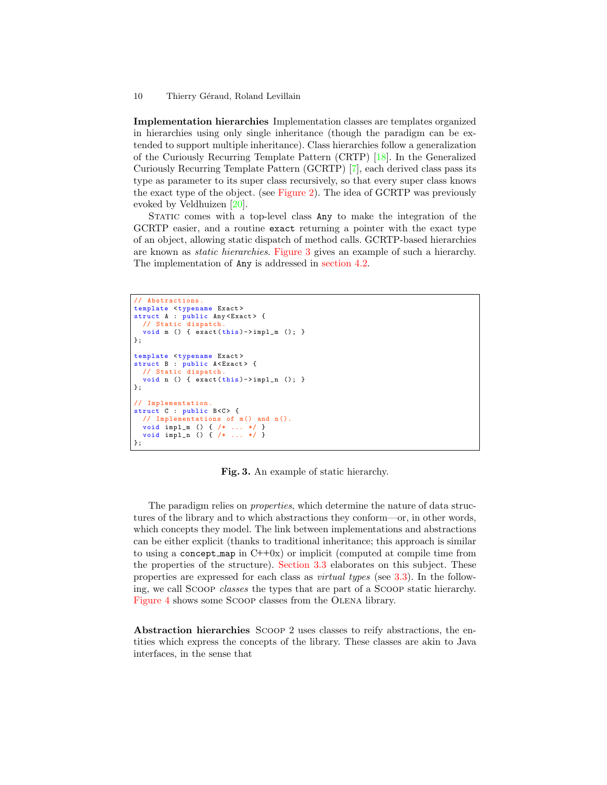<span id="page-9-1"></span>Implementation hierarchies Implementation classes are templates organized in hierarchies using only single inheritance (though the paradigm can be extended to support multiple inheritance). Class hierarchies follow a generalization of the Curiously Recurring Template Pattern (CRTP) [\[18\]](#page-28-2). In the Generalized Curiously Recurring Template Pattern (GCRTP) [\[7\]](#page-27-6), each derived class pass its type as parameter to its super class recursively, so that every super class knows the exact type of the object. (see [Figure 2\)](#page-8-0). The idea of GCRTP was previously evoked by Veldhuizen [\[20\]](#page-28-4).

STATIC comes with a top-level class Any to make the integration of the GCRTP easier, and a routine exact returning a pointer with the exact type of an object, allowing static dispatch of method calls. GCRTP-based hierarchies are known as static hierarchies. [Figure 3](#page-9-2) gives an example of such a hierarchy. The implementation of Any is addressed in [section 4.2.](#page-21-1)

```
// Abstractions .
template <typename Exact>
struct A : public Any<Exact> {
  // Static dispatch
  void m () { exact (this)->impl_m (); }
};
template <typename Exact>
struct B : public A < Exact > {<br>// Static dispatch.
  void n () { exact(this) ->impl_n (); }
};
// Implementation .
struct C : public B<C> {
  // Implementations of m() and n().<br>void impl m() f /* ... */ }
  void impl_m () { /* \ldots */void impl_n () { /* ... */ }
};
```
Fig. 3. An example of static hierarchy.

<span id="page-9-2"></span>The paradigm relies on properties, which determine the nature of data structures of the library and to which abstractions they conform—or, in other words, which concepts they model. The link between implementations and abstractions can be either explicit (thanks to traditional inheritance; this approach is similar to using a concept map in  $C++0x$ ) or implicit (computed at compile time from the properties of the structure). [Section 3.3](#page-13-0) elaborates on this subject. These properties are expressed for each class as virtual types (see [3.3\)](#page-14-0). In the following, we call Scoop classes the types that are part of a Scoop static hierarchy. [Figure 4](#page-10-0) shows some SCOOP classes from the OLENA library.

<span id="page-9-0"></span>Abstraction hierarchies Scoop 2 uses classes to reify abstractions, the entities which express the concepts of the library. These classes are akin to Java interfaces, in the sense that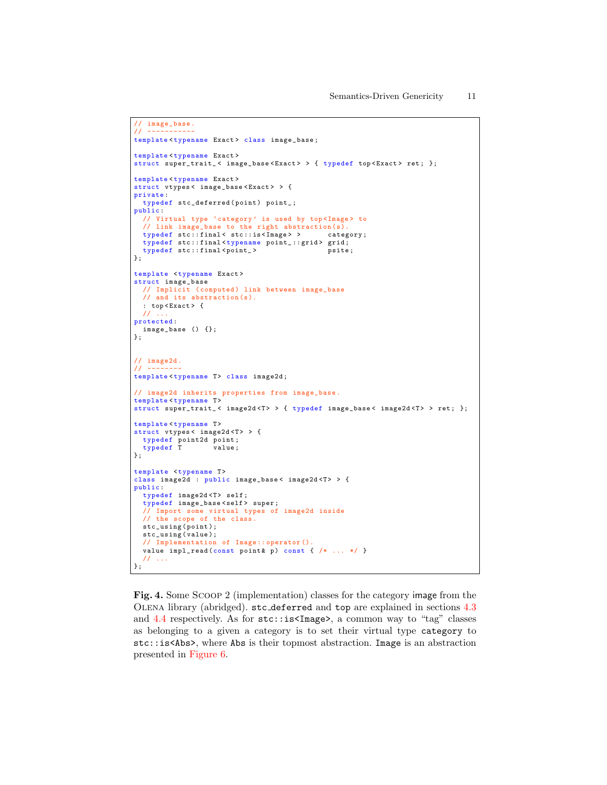```
// image_base.<br>// ----------
// -----------
template<typename Exact> class image_base;
template<typename Exact>
struct super_trait_ < image_base < Exact > > { typedef top < Exact > ret ; };
template < typename Exact >
struct vtypes< image_base<Exact> > {
private :
 typedef stc_deferred (point) point_;
public :
 // Virtual type 'category' is used by top<Image> to
  // link image_base to the right abstraction (s).
typedef stc :: final < stc :: is < Image > > category ;
 typedef stc::final<typename point_::grid> grid;<br>typedef stc::final<point_> psite;
typedef stc::final<point_> psite;<br>};
template <typename Exact>
struct image_base
 // Implicit (computed) link between image_base
 // and its abstraction (s).
 : top < Exact > {
// ...
protected :
 image_base () {};
};
// image2d .
11 ----
template<typename T> class image2d;
// image2d inherits properties from image_base .
template<typename T>
struct super_trait_< image2d<T>> > { typedef image_base< image2d<T> > ret; };
template<typename T>
struct vtypes < image2d <T> > {
  typedef point2d point ;
typedef T value ;
};
template <typename T>
class image2d : public image_base< image2d <T> > {
public :
 typedef image2d <T> self;
 typedef image_base < self > super ;
 // Import some virtual types of image2d inside
 // the scope of the class .
 stc_using ( point );
 stc_using ( value );
 // Implementation of Image :: operator ().
  value impl_read (const point & p) const { /* \ldots */ }
  // ...
};
```
<span id="page-10-0"></span>Fig. 4. Some Scoop 2 (implementation) classes for the category image from the Olena library (abridged). stc deferred and top are explained in sections [4.3](#page-22-0) and [4.4](#page-25-1) respectively. As for stc::is<Image>, a common way to "tag" classes as belonging to a given a category is to set their virtual type category to stc::is<Abs>, where Abs is their topmost abstraction. Image is an abstraction presented in [Figure 6.](#page-12-0)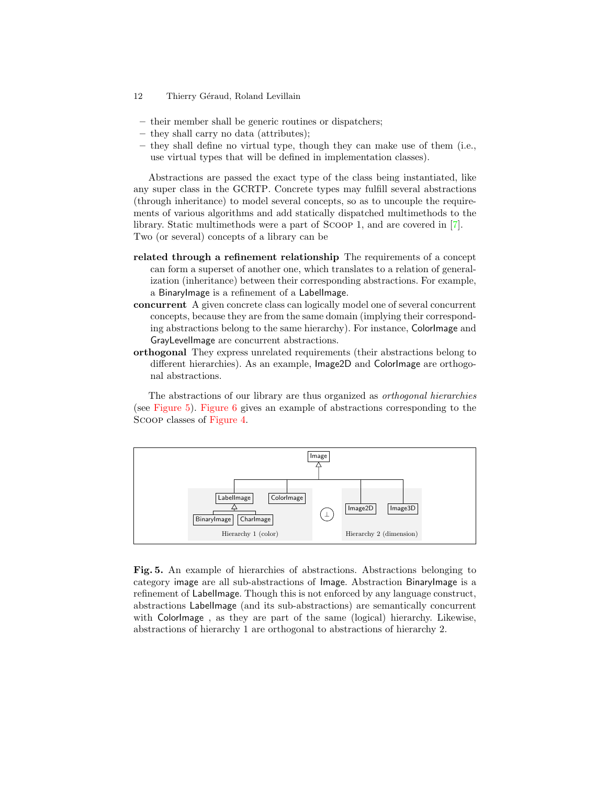- 12 Thierry Géraud, Roland Levillain
- their member shall be generic routines or dispatchers;
- they shall carry no data (attributes);
- they shall define no virtual type, though they can make use of them (i.e., use virtual types that will be defined in implementation classes).

Abstractions are passed the exact type of the class being instantiated, like any super class in the GCRTP. Concrete types may fulfill several abstractions (through inheritance) to model several concepts, so as to uncouple the requirements of various algorithms and add statically dispatched multimethods to the library. Static multimethods were a part of Scoop 1, and are covered in [\[7\]](#page-27-6). Two (or several) concepts of a library can be

- related through a refinement relationship The requirements of a concept can form a superset of another one, which translates to a relation of generalization (inheritance) between their corresponding abstractions. For example, a BinaryImage is a refinement of a LabelImage.
- concurrent A given concrete class can logically model one of several concurrent concepts, because they are from the same domain (implying their corresponding abstractions belong to the same hierarchy). For instance, ColorImage and GrayLevelImage are concurrent abstractions.
- orthogonal They express unrelated requirements (their abstractions belong to different hierarchies). As an example, Image2D and ColorImage are orthogonal abstractions.

The abstractions of our library are thus organized as orthogonal hierarchies (see [Figure 5\)](#page-11-0). [Figure 6](#page-12-0) gives an example of abstractions corresponding to the Scoop classes of [Figure 4.](#page-10-0)



<span id="page-11-0"></span>Fig. 5. An example of hierarchies of abstractions. Abstractions belonging to category image are all sub-abstractions of Image. Abstraction BinaryImage is a refinement of LabelImage. Though this is not enforced by any language construct, abstractions LabelImage (and its sub-abstractions) are semantically concurrent with ColorImage , as they are part of the same (logical) hierarchy. Likewise, abstractions of hierarchy 1 are orthogonal to abstractions of hierarchy 2.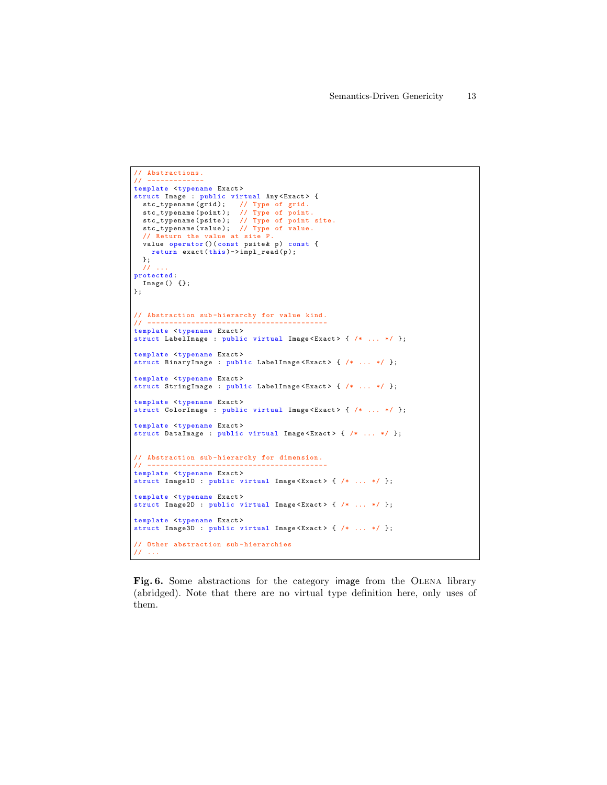```
// Abstractions.<br>// -------------
// -------------
template <typename Exact>
struct Image : public virtual Any<Exact> {
  stc_typename(grid); // Type of grid.<br>stc_typename(point); // Type of point.<br>stc_typename(psite); // Type of point site.<br>stc_typename(value); // Type of value.<br>// Return the value at site P.<br>value operator()(const psite& p)
    return exact(this) \rightarrow impl\_read(p);};
 // ...
protected :
 Image () {};
};
// Abstraction sub-hierarchy for value kind.
// -----------------------------------------
template <typename Exact>
struct LabelImage : public virtual Image < Exact > { /* ... */ };
template <typename Exact>
struct BinaryImage : public LabelImage <Exact> { /* ... */ };
template <typename Exact>
struct StringImage : public LabelImage < Exact > { /* ... */ };
template <typename Exact>
struct ColorImage : public virtual Image<Exact> { /* ... * / };
template <typename Exact>
struct DataImage : public virtual Image < Exact > { /* ... */ };
// Abstraction sub-hierarchy for dimension.
// -----------------------------------------
template <typename Exact>
struct Image1D : public virtual Image<Exact> { /* \ldots */ };
template <typename Exact>
struct Image2D : public virtual Image<Exact> { /* \ldots */ };
template <typename Exact>
struct Image3D : public virtual Image < Exact > { /* ... */ };
// Other abstraction sub - hierarchies
// ...
```
<span id="page-12-0"></span>Fig. 6. Some abstractions for the category image from the OLENA library (abridged). Note that there are no virtual type definition here, only uses of them.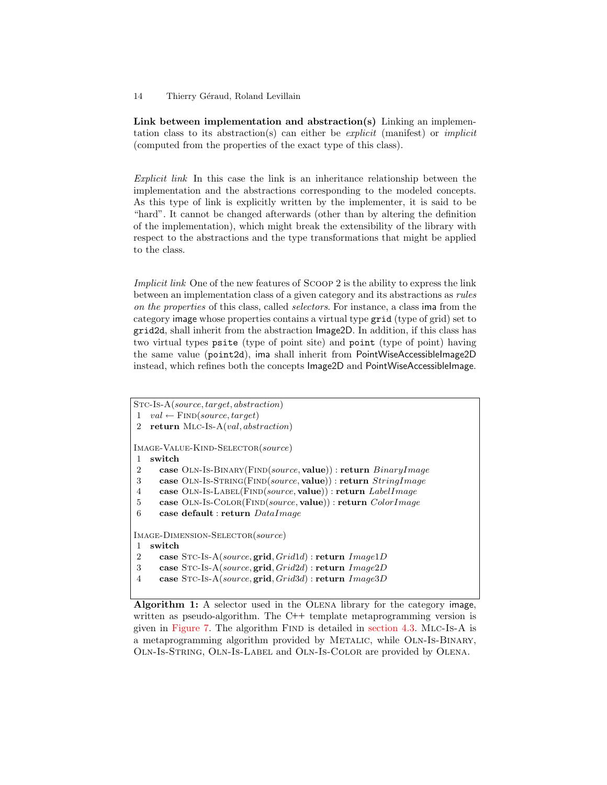<span id="page-13-0"></span>Link between implementation and abstraction(s) Linking an implementation class to its abstraction(s) can either be explicit (manifest) or implicit (computed from the properties of the exact type of this class).

Explicit link In this case the link is an inheritance relationship between the implementation and the abstractions corresponding to the modeled concepts. As this type of link is explicitly written by the implementer, it is said to be "hard". It cannot be changed afterwards (other than by altering the definition of the implementation), which might break the extensibility of the library with respect to the abstractions and the type transformations that might be applied to the class.

Implicit link One of the new features of Scoop 2 is the ability to express the link between an implementation class of a given category and its abstractions as rules on the properties of this class, called selectors. For instance, a class ima from the category image whose properties contains a virtual type grid (type of grid) set to grid2d, shall inherit from the abstraction Image2D. In addition, if this class has two virtual types psite (type of point site) and point (type of point) having the same value (point2d), ima shall inherit from PointWiseAccessibleImage2D instead, which refines both the concepts  $Image2D$  and  $PointW$ iseAccessibleImage.

```
Stc-Is-A(source, target, abstraction)
1 \text{ val} \leftarrow \text{FIND}(source, target)2 return Mlc-Is-A(val, abstraction)
Image-Value-Kind-Selector(source)
1 switch
2 case OLN-IS-BINARY(FIND(source, value)) : return BinaryImage
3 case OLN-IS-STRING(FIND(source, value)) : return StringImage
4 case Oln-Is-Label(Find(source, value)) : return LabelImage
5 case OLN-IS-COLOR(FIND(source, value)) : return ColorImage
6 case default : return DataImageImage-Dimension-Selector(source)
1 switch
2 case STC-Is-A(source, grid, Grid1d) : return Image1D
3 case Stc-Is-A(source, grid, Grid2d) : return Image2D
4 case STC-Is-A(source, grid, Grid3d) : return Image3D
```
<span id="page-13-1"></span>Algorithm 1: A selector used in the Olena library for the category image, written as pseudo-algorithm. The C++ template metaprogramming version is given in [Figure 7.](#page-15-0) The algorithm Find is detailed in [section 4.3.](#page-21-0) Mlc-Is-A is a metaprogramming algorithm provided by Metalic, while Oln-Is-Binary, Oln-Is-String, Oln-Is-Label and Oln-Is-Color are provided by Olena.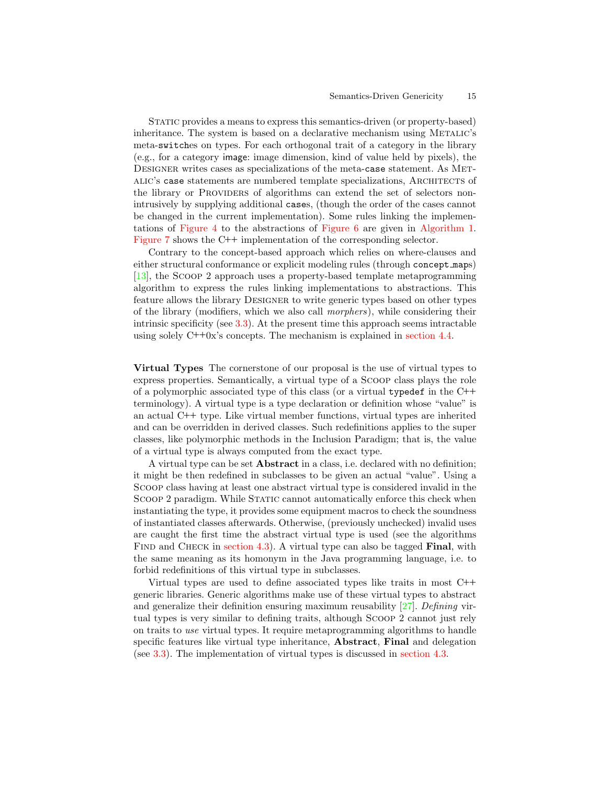#### Semantics-Driven Genericity 15

Static provides a means to express this semantics-driven (or property-based) inheritance. The system is based on a declarative mechanism using Metalic's meta-switches on types. For each orthogonal trait of a category in the library (e.g., for a category image: image dimension, kind of value held by pixels), the DESIGNER writes cases as specializations of the meta-case statement. As METalic's case statements are numbered template specializations, Architects of the library or Providers of algorithms can extend the set of selectors nonintrusively by supplying additional cases, (though the order of the cases cannot be changed in the current implementation). Some rules linking the implementations of [Figure 4](#page-10-0) to the abstractions of [Figure 6](#page-12-0) are given in [Algorithm 1.](#page-13-1) [Figure 7](#page-15-0) shows the C++ implementation of the corresponding selector.

Contrary to the concept-based approach which relies on where-clauses and either structural conformance or explicit modeling rules (through concept maps) [\[13\]](#page-27-12), the Scoop 2 approach uses a property-based template metaprogramming algorithm to express the rules linking implementations to abstractions. This feature allows the library DESIGNER to write generic types based on other types of the library (modifiers, which we also call morphers), while considering their intrinsic specificity (see [3.3\)](#page-16-0). At the present time this approach seems intractable using solely C++0x's concepts. The mechanism is explained in [section 4.4.](#page-25-1)

<span id="page-14-0"></span>Virtual Types The cornerstone of our proposal is the use of virtual types to express properties. Semantically, a virtual type of a Scoop class plays the role of a polymorphic associated type of this class (or a virtual typedef in the C++ terminology). A virtual type is a type declaration or definition whose "value" is an actual C++ type. Like virtual member functions, virtual types are inherited and can be overridden in derived classes. Such redefinitions applies to the super classes, like polymorphic methods in the Inclusion Paradigm; that is, the value of a virtual type is always computed from the exact type.

A virtual type can be set Abstract in a class, i.e. declared with no definition; it might be then redefined in subclasses to be given an actual "value". Using a Scoop class having at least one abstract virtual type is considered invalid in the SCOOP 2 paradigm. While STATIC cannot automatically enforce this check when instantiating the type, it provides some equipment macros to check the soundness of instantiated classes afterwards. Otherwise, (previously unchecked) invalid uses are caught the first time the abstract virtual type is used (see the algorithms FIND and CHECK in [section 4.3\)](#page-21-0). A virtual type can also be tagged **Final**, with the same meaning as its homonym in the Java programming language, i.e. to forbid redefinitions of this virtual type in subclasses.

Virtual types are used to define associated types like traits in most C++ generic libraries. Generic algorithms make use of these virtual types to abstract and generalize their definition ensuring maximum reusability [\[27\]](#page-28-11). Defining virtual types is very similar to defining traits, although Scoop 2 cannot just rely on traits to use virtual types. It require metaprogramming algorithms to handle specific features like virtual type inheritance, Abstract, Final and delegation (see [3.3\)](#page-16-0). The implementation of virtual types is discussed in [section 4.3.](#page-21-0)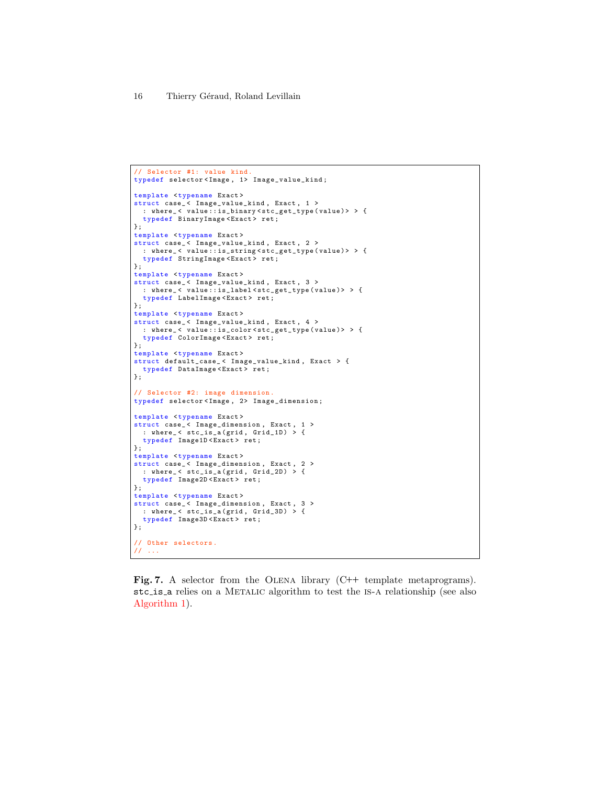```
// Selector #1: value kind
typedef selector < Image , 1> Image_value_kind ;
template <typename Exact>
struct case_< Image_value_kind, Exact, 1 >
  : where_ < value :: is_binary < stc_get_type ( value ) > > {
  typedef BinaryImage < Exact > ret ;
};
template <typename Exact>
struct case_< Image_value_kind, Exact, 2 >
  : where_ < value :: is_string < stc_get_type ( value ) > > {
  typedef StringImage < Exact > ret ;
\lambda:
template <typename Exact>
struct case_< Image_value_kind, Exact, 3 >
 : where_ < value :: is_label < stc_get_type ( value )> > {
  typedef LabelImage < Exact > ret ;
};
template <typename Exact>
struct case_ < Image_value_kind , Exact , 4 >
: where_ < value :: is_color < stc_get_type ( value )> > {
  typedef ColorImage <Exact>ret;
};
template <typename Exact >
struct default_case_ < Image_value_kind , Exact > {
 typedef DataImage < Exact> ret;
};
// Selector #2: image dimension .
typedef selector < Image , 2> Image_dimension ;
template <typename Exact>
struct case_< Image_dimension, Exact, 1 ><br>
: where_< stc_is_a(grid, Grid_1D) > {<br>
typedef Image1D<Exact> ret;
\ddot{\ }:
template <typename Exact>
struct case_< Image_dimension, Exact, 2 >
  : where_< stc_is_a(grid, Grid_2D) > {<br>typedef Image2D<Exact> ret;
\ddot{\ }:
template <typename Exact>
struct case_< Image_dimension, Exact, 3 >
  : where_ < stc_is_a ( grid , Grid_3D ) > {
  typedef Image3D <Exact>ret;
};
// Other selectors .
// ...
```
<span id="page-15-0"></span>Fig. 7. A selector from the OLENA library (C++ template metaprograms). stc is a relies on a Metalic algorithm to test the is-a relationship (see also [Algorithm 1\)](#page-13-1).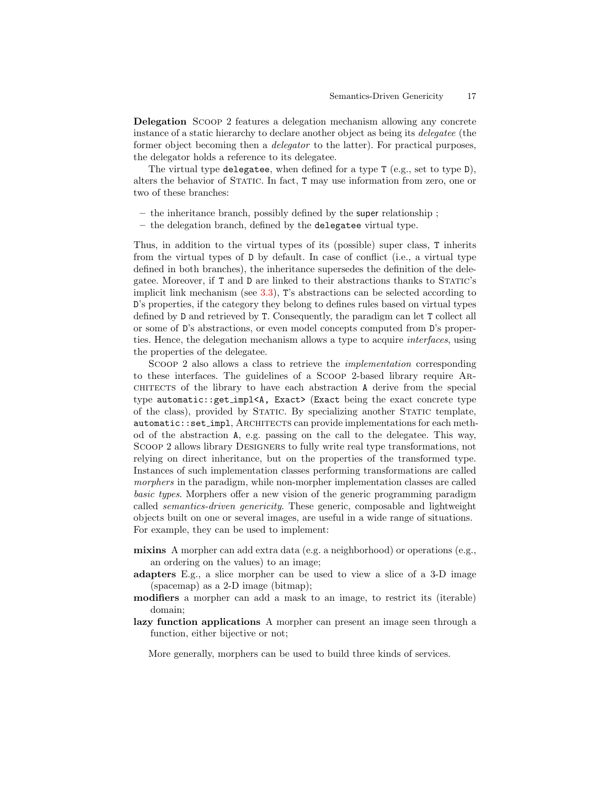<span id="page-16-0"></span>Delegation Scoop 2 features a delegation mechanism allowing any concrete instance of a static hierarchy to declare another object as being its delegatee (the former object becoming then a delegator to the latter). For practical purposes, the delegator holds a reference to its delegatee.

The virtual type delegatee, when defined for a type T (e.g., set to type D), alters the behavior of Static. In fact, T may use information from zero, one or two of these branches:

- the inheritance branch, possibly defined by the super relationship ;
- the delegation branch, defined by the delegatee virtual type.

Thus, in addition to the virtual types of its (possible) super class, T inherits from the virtual types of D by default. In case of conflict (i.e., a virtual type defined in both branches), the inheritance supersedes the definition of the delegatee. Moreover, if T and D are linked to their abstractions thanks to Static's implicit link mechanism (see [3.3\)](#page-13-0), T's abstractions can be selected according to D's properties, if the category they belong to defines rules based on virtual types defined by D and retrieved by T. Consequently, the paradigm can let T collect all or some of D's abstractions, or even model concepts computed from D's properties. Hence, the delegation mechanism allows a type to acquire interfaces, using the properties of the delegatee.

Scoop 2 also allows a class to retrieve the implementation corresponding to these interfaces. The guidelines of a Scoop 2-based library require Ar- $CHITECTS$  of the library to have each abstraction A derive from the special type automatic::get impl<A, Exact> (Exact being the exact concrete type of the class), provided by Static. By specializing another Static template, automatic::set\_impl, ARCHITECTS can provide implementations for each method of the abstraction A, e.g. passing on the call to the delegatee. This way, Scoop 2 allows library Designers to fully write real type transformations, not relying on direct inheritance, but on the properties of the transformed type. Instances of such implementation classes performing transformations are called morphers in the paradigm, while non-morpher implementation classes are called basic types. Morphers offer a new vision of the generic programming paradigm called semantics-driven genericity. These generic, composable and lightweight objects built on one or several images, are useful in a wide range of situations. For example, they can be used to implement:

- mixins A morpher can add extra data (e.g. a neighborhood) or operations (e.g., an ordering on the values) to an image;
- adapters E.g., a slice morpher can be used to view a slice of a 3-D image (spacemap) as a 2-D image (bitmap);
- modifiers a morpher can add a mask to an image, to restrict its (iterable) domain;
- lazy function applications A morpher can present an image seen through a function, either bijective or not;

More generally, morphers can be used to build three kinds of services.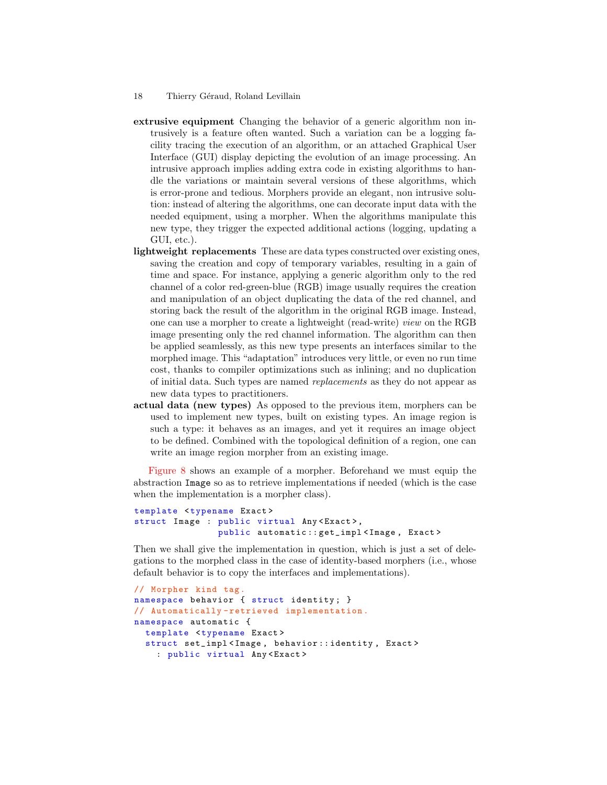- extrusive equipment Changing the behavior of a generic algorithm non intrusively is a feature often wanted. Such a variation can be a logging facility tracing the execution of an algorithm, or an attached Graphical User Interface (GUI) display depicting the evolution of an image processing. An intrusive approach implies adding extra code in existing algorithms to handle the variations or maintain several versions of these algorithms, which is error-prone and tedious. Morphers provide an elegant, non intrusive solution: instead of altering the algorithms, one can decorate input data with the needed equipment, using a morpher. When the algorithms manipulate this new type, they trigger the expected additional actions (logging, updating a GUI, etc.).
- lightweight replacements These are data types constructed over existing ones, saving the creation and copy of temporary variables, resulting in a gain of time and space. For instance, applying a generic algorithm only to the red channel of a color red-green-blue (RGB) image usually requires the creation and manipulation of an object duplicating the data of the red channel, and storing back the result of the algorithm in the original RGB image. Instead, one can use a morpher to create a lightweight (read-write) view on the RGB image presenting only the red channel information. The algorithm can then be applied seamlessly, as this new type presents an interfaces similar to the morphed image. This "adaptation" introduces very little, or even no run time cost, thanks to compiler optimizations such as inlining; and no duplication of initial data. Such types are named replacements as they do not appear as new data types to practitioners.
- actual data (new types) As opposed to the previous item, morphers can be used to implement new types, built on existing types. An image region is such a type: it behaves as an images, and yet it requires an image object to be defined. Combined with the topological definition of a region, one can write an image region morpher from an existing image.

[Figure 8](#page-19-0) shows an example of a morpher. Beforehand we must equip the abstraction Image so as to retrieve implementations if needed (which is the case when the implementation is a morpher class).

```
template <typename Exact >
struct Image : public virtual Any<Exact>,
                public automatic :: get_impl < Image , Exact >
```
Then we shall give the implementation in question, which is just a set of delegations to the morphed class in the case of identity-based morphers (i.e., whose default behavior is to copy the interfaces and implementations).

```
// Morpher kind tag.
namespace behavior { struct identity; }
// Automatically - retrieved implementation .
namespace automatic {
  template <typename Exact>
  struct set_impl<Image, behavior::identity, Exact>
    : public virtual Any < Exact >
```
<sup>18</sup> Thierry Géraud, Roland Levillain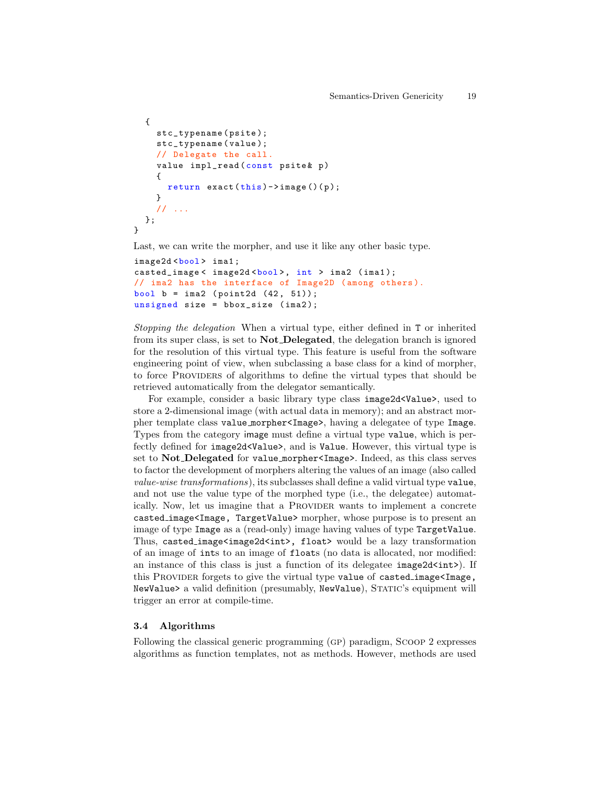```
{
    stc_typename (psite);
    stc_typename (value);
    // Delegate the call .
    value impl_read (const psite & p)
    {
       return exact(this) \rightarrow image() (p);}
    // ...
  };
}
```
Last, we can write the morpher, and use it like any other basic type.

```
image2d<bool> ima1;
casted_image< image2d<bool>, int > ima2 (ima1);
// ima2 has the interface of Image2D ( among others ).
bool b = \text{ima2} (\text{point2d} (42, 51);
unsigned size = bbox_size (ima2);
```
Stopping the delegation When a virtual type, either defined in T or inherited from its super class, is set to Not Delegated, the delegation branch is ignored for the resolution of this virtual type. This feature is useful from the software engineering point of view, when subclassing a base class for a kind of morpher, to force Providers of algorithms to define the virtual types that should be retrieved automatically from the delegator semantically.

For example, consider a basic library type class image2d<Value>, used to store a 2-dimensional image (with actual data in memory); and an abstract morpher template class value morpher<Image>, having a delegatee of type Image. Types from the category image must define a virtual type value, which is perfectly defined for image2d<Value>, and is Value. However, this virtual type is set to Not Delegated for value morpher<Image>. Indeed, as this class serves to factor the development of morphers altering the values of an image (also called value-wise transformations), its subclasses shall define a valid virtual type value, and not use the value type of the morphed type (i.e., the delegatee) automatically. Now, let us imagine that a PROVIDER wants to implement a concrete casted image<Image, TargetValue> morpher, whose purpose is to present an image of type Image as a (read-only) image having values of type TargetValue. Thus, casted\_image<image2d<int>, float> would be a lazy transformation of an image of ints to an image of floats (no data is allocated, nor modified: an instance of this class is just a function of its delegatee  $image2d). If$ this PROVIDER forgets to give the virtual type value of casted\_image<Image, NewValue> a valid definition (presumably, NewValue), Static's equipment will trigger an error at compile-time.

### 3.4 Algorithms

Following the classical generic programming (gp) paradigm, Scoop 2 expresses algorithms as function templates, not as methods. However, methods are used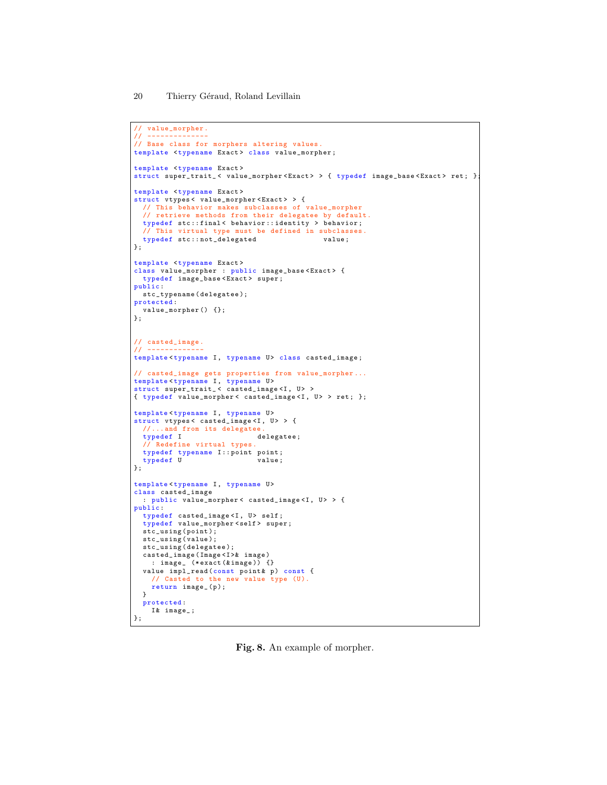```
// value_morpher .
// --------------
// Base class for morphers altering values .
template <typename Exact > class value_morpher ;
template <tvpename Exact>
struct super_trait_ < value_morpher < Exact > > { typedef image_base < Exact > ret ; };
template <typename Exact>
struct vtypes < value_morpher < Exact > > {
 // This behavior makes subclasses of value_morpher
  // retrieve methods from their delegatee by default .
 typedef stc :: final < behavior :: identity > behavior ;
 // This virtual type must be defined in subclasses .
 typedef stc::not_delegated value;
};
template <typename Exact>
class value_morpher : public image_base<Exact> {
 typedef image_base < Exact > super ;
public :
stc_typename ( delegatee );
protected :
 value_morpher () {};
};
// casted_image .
// -------------
template<typename I, typename U> class casted_image;
// casted_image gets properties from value_morpher ...
template<typename I, typename U>
struct super_trait_< casted_image<I, U> >
{ typedef value_morpher < casted_image <I , U > > ret ; };
template<typename I, typename U>
struct vtypes< casted_image<I, U> > {
 //...and from its delegatee<br>typedef I d
                             delegatee;
 // Redefine virtual types .
 typedef typename I:: point point;<br>typedef U value;
 typedef U
};
template<typename I, typename U>
class casted_image
 : public value_morpher < casted_image <I , U > > {
public :
 typedef casted_image<I, U> self;
 typedef value_morpher < self > super ;
 stc_using ( point );
  stc_using ( value );
  stc_using (delegatee);
 casted_image ( Image <I >& image )
    : image_ (*exact (& image)) {}
  value imp1_{read}(const point k p) const {
    // Casted to the new value type (U).
   return image_(p);
  }
  protected :
    I& image_ ;
};
```
<span id="page-19-0"></span>Fig. 8. An example of morpher.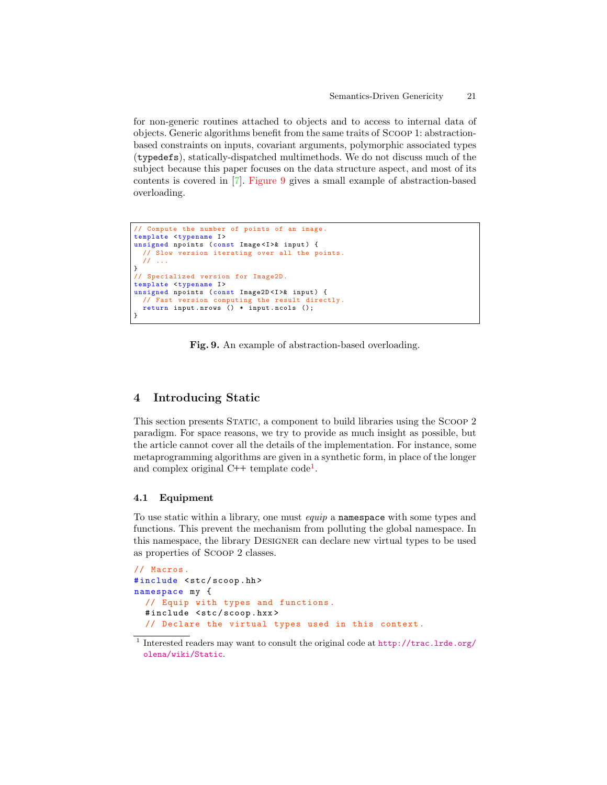for non-generic routines attached to objects and to access to internal data of objects. Generic algorithms benefit from the same traits of Scoop 1: abstractionbased constraints on inputs, covariant arguments, polymorphic associated types (typedefs), statically-dispatched multimethods. We do not discuss much of the subject because this paper focuses on the data structure aspect, and most of its contents is covered in [\[7\]](#page-27-6). [Figure 9](#page-20-1) gives a small example of abstraction-based overloading.

```
// Compute the number of points of an image .
template <typename I>
unsigned npoints (const Image<I>& input) {
  // Slow version iterating over all the points .
  \prime\prime}
// Specialized version for Image2D .
template <typename I>
unsigned npoints (const Image2D <I > & input) {
  // Fast version computing the result directly .
  return input . nrows () * input . ncols ();
}
```
<span id="page-20-1"></span>Fig. 9. An example of abstraction-based overloading.

# <span id="page-20-0"></span>4 Introducing Static

This section presents Static, a component to build libraries using the Scoop 2 paradigm. For space reasons, we try to provide as much insight as possible, but the article cannot cover all the details of the implementation. For instance, some metaprogramming algorithms are given in a synthetic form, in place of the longer and complex original C++ template code<sup>[1](#page-20-2)</sup>.

### 4.1 Equipment

To use static within a library, one must equip a namespace with some types and functions. This prevent the mechanism from polluting the global namespace. In this namespace, the library Designer can declare new virtual types to be used as properties of Scoop 2 classes.

```
// Macros .
#include <stc/scoop.hh>
namespace my {
  // Equip with types and functions .
  #include <stc/scoop.hxx>
  // Declare the virtual types used in this context .
```
<span id="page-20-2"></span><sup>&</sup>lt;sup>1</sup> Interested readers may want to consult the original code at [http://trac.lrde.org/](http://trac.lrde.org/olena/wiki/Static) [olena/wiki/Static](http://trac.lrde.org/olena/wiki/Static).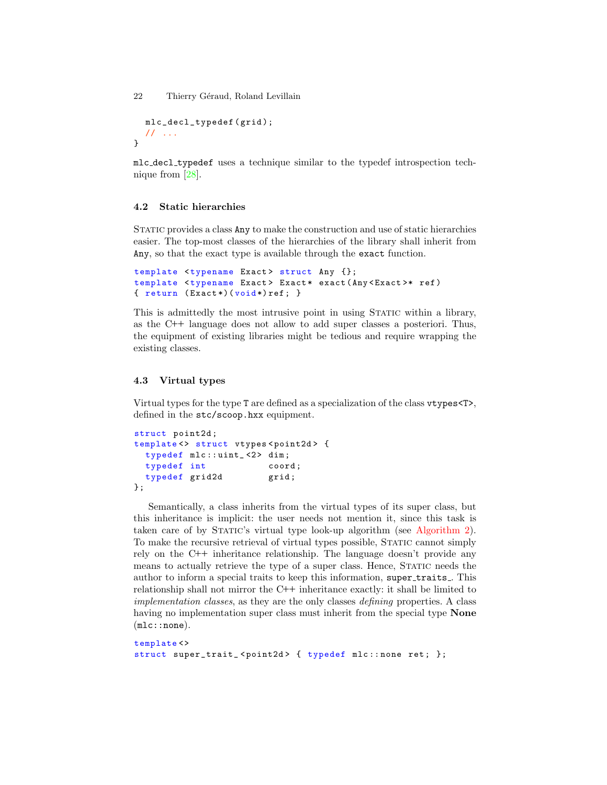```
mlc_decl_typedef ( grid );
  // ...
}
```
mlc decl typedef uses a technique similar to the typedef introspection technique from [\[28\]](#page-28-12).

### <span id="page-21-1"></span>4.2 Static hierarchies

STATIC provides a class Any to make the construction and use of static hierarchies easier. The top-most classes of the hierarchies of the library shall inherit from Any, so that the exact type is available through the exact function.

```
template <typename Exact> struct Any {};
template <typename Exact> Exact* exact (Any <Exact>* ref)
\{ return (Exact*) (void*) ref; \}
```
This is admittedly the most intrusive point in using Static within a library, as the C++ language does not allow to add super classes a posteriori. Thus, the equipment of existing libraries might be tedious and require wrapping the existing classes.

### <span id="page-21-0"></span>4.3 Virtual types

Virtual types for the type T are defined as a specialization of the class vtypes<T>, defined in the stc/scoop.hxx equipment.

```
struct point2d ;
template <> struct vtypes <point2d> {
  typedef mlc::uint_<2> dim;
 typedef int coord;
 typedef grid2d grid;
};
```
Semantically, a class inherits from the virtual types of its super class, but this inheritance is implicit: the user needs not mention it, since this task is taken care of by Static's virtual type look-up algorithm (see [Algorithm 2\)](#page-23-0). To make the recursive retrieval of virtual types possible, Static cannot simply rely on the C++ inheritance relationship. The language doesn't provide any means to actually retrieve the type of a super class. Hence, STATIC needs the author to inform a special traits to keep this information, super\_traits\_. This relationship shall not mirror the C++ inheritance exactly: it shall be limited to implementation classes, as they are the only classes defining properties. A class having no implementation super class must inherit from the special type **None** (mlc::none).

```
template <>
struct super_trait_<point2d> { typedef mlc::none ret; };
```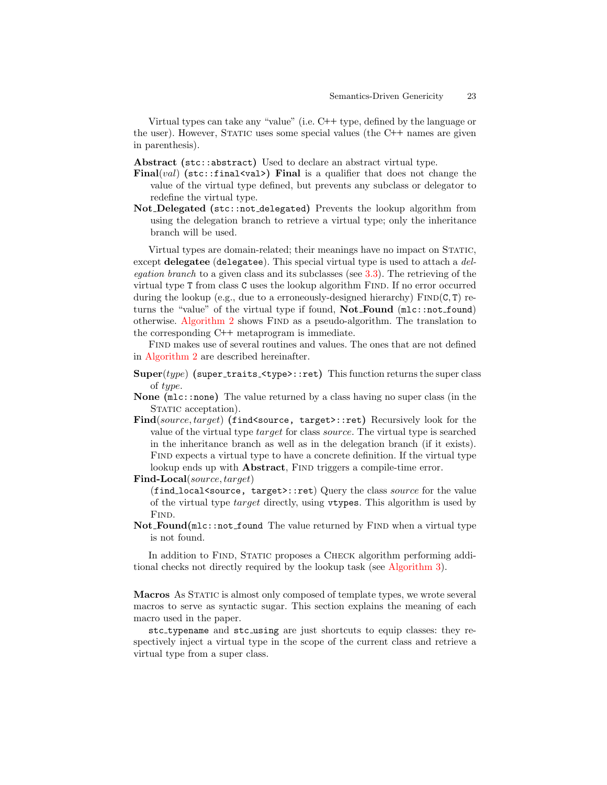Virtual types can take any "value" (i.e. C++ type, defined by the language or the user). However, Static uses some special values (the C++ names are given in parenthesis).

Abstract (stc::abstract) Used to declare an abstract virtual type.

- Final(val) (stc::final<val>) Final is a qualifier that does not change the value of the virtual type defined, but prevents any subclass or delegator to redefine the virtual type.
- Not Delegated (stc::not delegated) Prevents the lookup algorithm from using the delegation branch to retrieve a virtual type; only the inheritance branch will be used.

Virtual types are domain-related; their meanings have no impact on STATIC, except delegatee (delegatee). This special virtual type is used to attach a delegation branch to a given class and its subclasses (see [3.3\)](#page-16-0). The retrieving of the virtual type T from class C uses the lookup algorithm Find. If no error occurred during the lookup (e.g., due to a erroneously-designed hierarchy)  $\text{FIND}(\text{C}, \text{T})$  returns the "value" of the virtual type if found,  $Not_Found$  ( $mlc::not_found$ ) otherwise. [Algorithm 2](#page-23-0) shows FIND as a pseudo-algorithm. The translation to the corresponding C++ metaprogram is immediate.

Find makes use of several routines and values. The ones that are not defined in [Algorithm 2](#page-23-0) are described hereinafter.

- $Super(type)$  (super\_traits\_ $ltype$ ):ret) This function returns the super class of type.
- None (mlc::none) The value returned by a class having no super class (in the STATIC acceptation).
- Find(source, target) (find<source, target>::ret) Recursively look for the value of the virtual type target for class source. The virtual type is searched in the inheritance branch as well as in the delegation branch (if it exists). Find expects a virtual type to have a concrete definition. If the virtual type lookup ends up with **Abstract**, FIND triggers a compile-time error.

Find-Local(source, target)

(find local<source, target>::ret) Query the class source for the value of the virtual type target directly, using vtypes. This algorithm is used by F<sub>IND</sub>.

 $Not\_Found(mlc::not\_found$  The value returned by FIND when a virtual type is not found.

In addition to FIND, STATIC proposes a CHECK algorithm performing additional checks not directly required by the lookup task (see [Algorithm 3\)](#page-24-0).

<span id="page-22-0"></span>Macros As STATIC is almost only composed of template types, we wrote several macros to serve as syntactic sugar. This section explains the meaning of each macro used in the paper.

stc typename and stc using are just shortcuts to equip classes: they respectively inject a virtual type in the scope of the current class and retrieve a virtual type from a super class.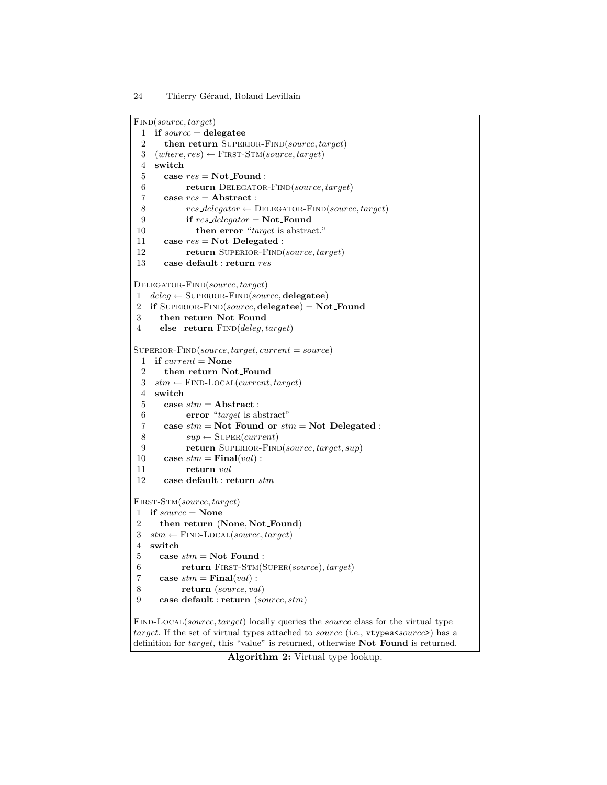```
FIND(source, target)
 1 if source = \text{delegatee}2 then return SUPERIOR-FIND(source, target)
 3 (where, res) \leftarrow FIRST-STM(source, target)
 4 switch
 5 case res = Not\_Found:
 6 return DELEGATOR-FIND(source, target)
 7 case res = Abstract :
 8 res\_deleqator \leftarrow \text{DELEGATOR-FIND}(source, target)9 if res\_deleqator = Not\_Found10 then error "target is abstract."
11 case res = Not\_Delegated:
12 return SUPERIOR-FIND(source, target)
13 case default : return res
DELEGATOR-FIND(source, target)
1 deleg \leftarrow \text{SUPERIOR-FIND}(source, \text{delegatee})2 if SUPERIOR-FIND(source, delegatee) = Not_F3 then return Not Found
4 else return FIND(deleg, target)
SuperBOR-FIND(source, target, current = source)1 if current = None2 then return Not Found
 3 stm \leftarrow \text{FIND-Local}(current, target)4 switch
 5 case stm = Abstract :
 6 error "target is abstract"
 7 case stm = Not\_Found or stm = Not\_Delegated:
 8 sup \leftarrow \text{SUPER}(current)9 return SUPERIOR-FIND(source, target, sup)
10 case stm = Final(val):
11 return val
12 case default : return stm
FIRST-STM(source, target)
1 if source = None2 then return (None, Not Found)
3 stm \leftarrow \text{FIND-Local}(source, target)4 switch
5 case stm = Not\_Found:
6 return FIRST-STM(SUPER(source), target)
7 case stm = Final(val):
8 return (source, val)
9 case default : return (source, stm)
FIND-LOCAL(source, target) locally queries the source class for the virtual type
target. If the set of virtual types attached to source (i.e., vtypes<source>) has a
definition for target, this "value" is returned, otherwise Not_Found is returned.
```
<span id="page-23-0"></span>Algorithm 2: Virtual type lookup.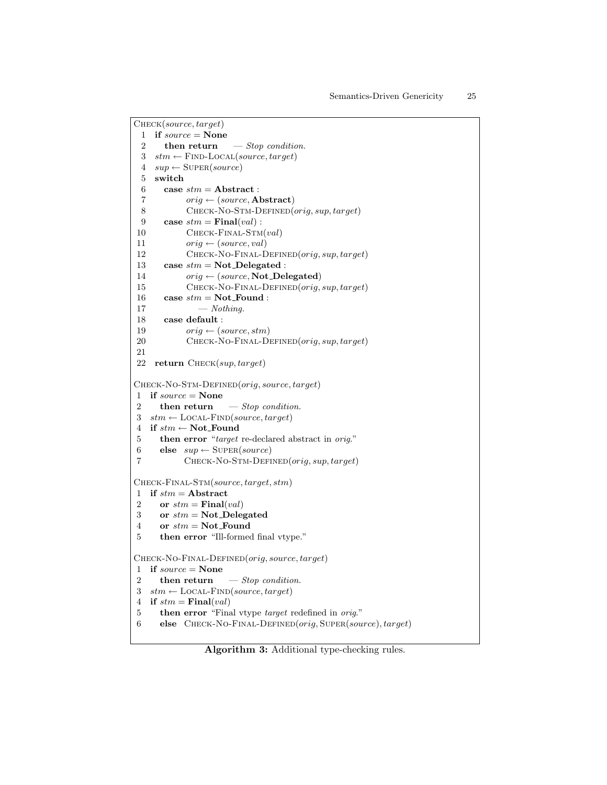```
Check(source, target)
 1 if source = None2 then return - Stop condition.
 3 stm \leftarrow \text{FIND-Local}(source, target)4 \, sup \leftarrow \text{SUPER}(source)5 switch
 6 case stm = Abstract :
 7 orig \leftarrow (source, Abstract)8 CHECK-NO-STM-DEFINED(orig, sup, target)
 9 case stm = \textbf{Final}(val):
10 CHECK-FINAL-STM(val)11 orig \leftarrow (source, val)12 CHECK-NO-FINAL-DEFINED(orig, sup, target)
13 case stm = Not\_Delegated:
14 orig \leftarrow (source, Not\_Delegated)15 CHECK-NO-FINAL-DEFINED(orig, sup, target)
16 case stm = Not\_Found:
17 — \text{Nothing.}18 case default :
19 \text{ori}_q \leftarrow (\text{source}, \text{stm})20 CHECK-NO-FINAL-DEFINED(orig, sup, target)
21
22 return Check(sup, target)
Check-No-Stm-Defined(orig, source, target)
1 if source = None
2 then return - Stop condition.
3 stm \leftarrow \text{LOCAL-FIND}(source, target)4 if stm \leftarrow \textbf{Not\_Found}5 then error "target re-declared abstract in orig."
6 else sup \leftarrow \text{Super}(source)7 CHECK-NO-STM-DEFINED(orig, sup, target)
Check-Final-Stm(source, target, stm)
1 if stm = Abstract
2 or stm = Final(val)3 or stm = Not\_Delegated4 or stm = Not-Found
5 then error "Ill-formed final vtype."
Check-No-Final-Defined(orig, source, target)
1 if source = None2 then return - Stop condition.
3 stm \leftarrow LOCAL-FIND(source, target)
4 if stm = Final(val)5 then error "Final vtype target redefined in orig."
6 else CHECK-NO-FINAL-DEFINED(orig, {\text{Super}}(source), target)
```
<span id="page-24-0"></span>Algorithm 3: Additional type-checking rules.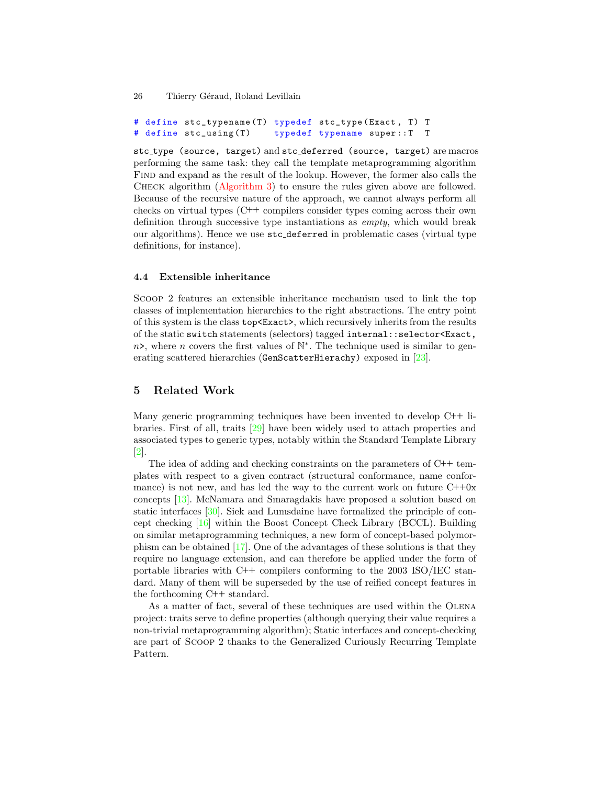# define stc\_typename (T) typedef stc\_type (Exact, T) T # define stc\_using (T) typedef typename super :: T T

stc type (source, target) and stc deferred (source, target) are macros performing the same task: they call the template metaprogramming algorithm Find and expand as the result of the lookup. However, the former also calls the Check algorithm [\(Algorithm 3\)](#page-24-0) to ensure the rules given above are followed. Because of the recursive nature of the approach, we cannot always perform all checks on virtual types (C++ compilers consider types coming across their own definition through successive type instantiations as empty, which would break our algorithms). Hence we use stc deferred in problematic cases (virtual type definitions, for instance).

### <span id="page-25-1"></span>4.4 Extensible inheritance

Scoop 2 features an extensible inheritance mechanism used to link the top classes of implementation hierarchies to the right abstractions. The entry point of this system is the class top<Exact>, which recursively inherits from the results of the static switch statements (selectors) tagged internal::selector<Exact,  $n$ , where n covers the first values of  $\mathbb{N}^*$ . The technique used is similar to generating scattered hierarchies (GenScatterHierachy) exposed in [\[23\]](#page-28-7).

# <span id="page-25-0"></span>5 Related Work

Many generic programming techniques have been invented to develop C++ libraries. First of all, traits [\[29\]](#page-28-13) have been widely used to attach properties and associated types to generic types, notably within the Standard Template Library [\[2\]](#page-27-1).

The idea of adding and checking constraints on the parameters of C++ templates with respect to a given contract (structural conformance, name conformance) is not new, and has led the way to the current work on future  $C++0x$ concepts [\[13\]](#page-27-12). McNamara and Smaragdakis have proposed a solution based on static interfaces [\[30\]](#page-28-14). Siek and Lumsdaine have formalized the principle of concept checking [\[16\]](#page-28-0) within the Boost Concept Check Library (BCCL). Building on similar metaprogramming techniques, a new form of concept-based polymorphism can be obtained [\[17\]](#page-28-1). One of the advantages of these solutions is that they require no language extension, and can therefore be applied under the form of portable libraries with C++ compilers conforming to the 2003 ISO/IEC standard. Many of them will be superseded by the use of reified concept features in the forthcoming C++ standard.

As a matter of fact, several of these techniques are used within the Olena project: traits serve to define properties (although querying their value requires a non-trivial metaprogramming algorithm); Static interfaces and concept-checking are part of Scoop 2 thanks to the Generalized Curiously Recurring Template Pattern.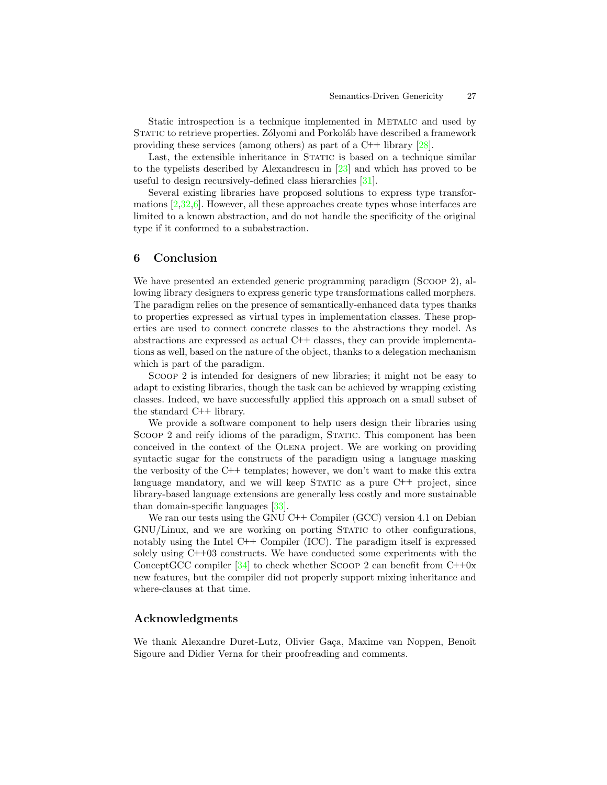Static introspection is a technique implemented in METALIC and used by STATIC to retrieve properties. Zólyomi and Porkoláb have described a framework providing these services (among others) as part of a C++ library [\[28\]](#page-28-12).

Last, the extensible inheritance in STATIC is based on a technique similar to the typelists described by Alexandrescu in [\[23\]](#page-28-7) and which has proved to be useful to design recursively-defined class hierarchies [\[31\]](#page-28-15).

Several existing libraries have proposed solutions to express type transformations [\[2](#page-27-1)[,32](#page-28-16)[,6\]](#page-27-5). However, all these approaches create types whose interfaces are limited to a known abstraction, and do not handle the specificity of the original type if it conformed to a subabstraction.

# <span id="page-26-0"></span>6 Conclusion

We have presented an extended generic programming paradigm (Scoop 2), allowing library designers to express generic type transformations called morphers. The paradigm relies on the presence of semantically-enhanced data types thanks to properties expressed as virtual types in implementation classes. These properties are used to connect concrete classes to the abstractions they model. As abstractions are expressed as actual C++ classes, they can provide implementations as well, based on the nature of the object, thanks to a delegation mechanism which is part of the paradigm.

Scoop 2 is intended for designers of new libraries; it might not be easy to adapt to existing libraries, though the task can be achieved by wrapping existing classes. Indeed, we have successfully applied this approach on a small subset of the standard C++ library.

We provide a software component to help users design their libraries using SCOOP 2 and reify idioms of the paradigm, STATIC. This component has been conceived in the context of the Olena project. We are working on providing syntactic sugar for the constructs of the paradigm using a language masking the verbosity of the C++ templates; however, we don't want to make this extra language mandatory, and we will keep STATIC as a pure  $C++$  project, since library-based language extensions are generally less costly and more sustainable than domain-specific languages [\[33\]](#page-28-17).

We ran our tests using the GNU  $C++$  Compiler (GCC) version 4.1 on Debian GNU/Linux, and we are working on porting Static to other configurations, notably using the Intel C++ Compiler (ICC). The paradigm itself is expressed solely using C++03 constructs. We have conducted some experiments with the ConceptGCC compiler  $[34]$  to check whether SCOOP 2 can benefit from C++0x new features, but the compiler did not properly support mixing inheritance and where-clauses at that time.

### Acknowledgments

We thank Alexandre Duret-Lutz, Olivier Gaça, Maxime van Noppen, Benoît Sigoure and Didier Verna for their proofreading and comments.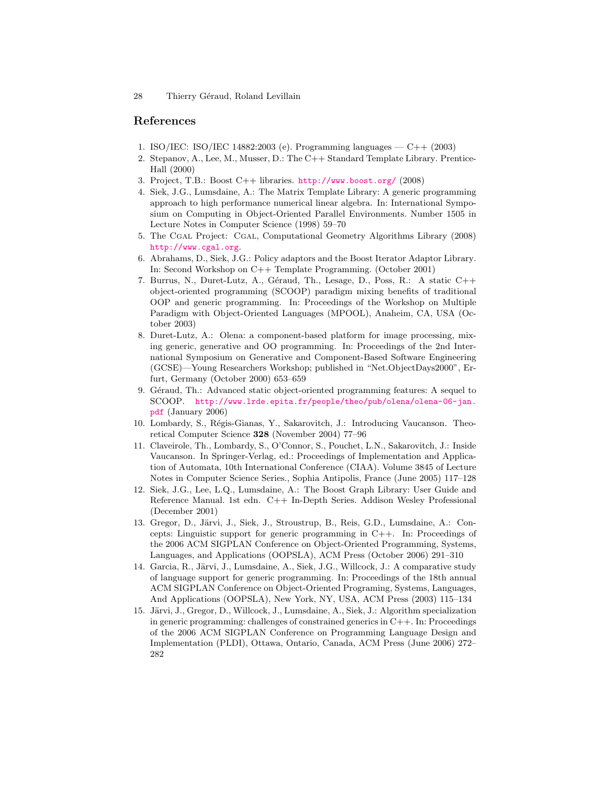## References

- <span id="page-27-0"></span>1. ISO/IEC: ISO/IEC 14882:2003 (e). Programming languages — C++ (2003)
- <span id="page-27-1"></span>2. Stepanov, A., Lee, M., Musser, D.: The C++ Standard Template Library. Prentice-Hall (2000)
- <span id="page-27-2"></span>3. Project, T.B.: Boost C++ libraries. <http://www.boost.org/> (2008)
- <span id="page-27-3"></span>4. Siek, J.G., Lumsdaine, A.: The Matrix Template Library: A generic programming approach to high performance numerical linear algebra. In: International Symposium on Computing in Object-Oriented Parallel Environments. Number 1505 in Lecture Notes in Computer Science (1998) 59–70
- <span id="page-27-4"></span>5. The Cgal Project: Cgal, Computational Geometry Algorithms Library (2008) <http://www.cgal.org>.
- <span id="page-27-5"></span>6. Abrahams, D., Siek, J.G.: Policy adaptors and the Boost Iterator Adaptor Library. In: Second Workshop on C++ Template Programming. (October 2001)
- <span id="page-27-6"></span>7. Burrus, N., Duret-Lutz, A., G´eraud, Th., Lesage, D., Poss, R.: A static C++ object-oriented programming (SCOOP) paradigm mixing benefits of traditional OOP and generic programming. In: Proceedings of the Workshop on Multiple Paradigm with Object-Oriented Languages (MPOOL), Anaheim, CA, USA (October 2003)
- <span id="page-27-7"></span>8. Duret-Lutz, A.: Olena: a component-based platform for image processing, mixing generic, generative and OO programming. In: Proceedings of the 2nd International Symposium on Generative and Component-Based Software Engineering (GCSE)—Young Researchers Workshop; published in "Net.ObjectDays2000", Erfurt, Germany (October 2000) 653–659
- <span id="page-27-8"></span>9. Géraud, Th.: Advanced static object-oriented programming features: A sequel to SCOOP. [http://www.lrde.epita.fr/people/theo/pub/olena/olena-06-jan.](http://www.lrde.epita.fr/people/theo/pub/olena/olena-06-jan.pdf) [pdf](http://www.lrde.epita.fr/people/theo/pub/olena/olena-06-jan.pdf) (January 2006)
- <span id="page-27-9"></span>10. Lombardy, S., R´egis-Gianas, Y., Sakarovitch, J.: Introducing Vaucanson. Theoretical Computer Science 328 (November 2004) 77–96
- <span id="page-27-10"></span>11. Claveirole, Th., Lombardy, S., O'Connor, S., Pouchet, L.N., Sakarovitch, J.: Inside Vaucanson. In Springer-Verlag, ed.: Proceedings of Implementation and Application of Automata, 10th International Conference (CIAA). Volume 3845 of Lecture Notes in Computer Science Series., Sophia Antipolis, France (June 2005) 117–128
- <span id="page-27-11"></span>12. Siek, J.G., Lee, L.Q., Lumsdaine, A.: The Boost Graph Library: User Guide and Reference Manual. 1st edn. C++ In-Depth Series. Addison Wesley Professional (December 2001)
- <span id="page-27-12"></span>13. Gregor, D., Järvi, J., Siek, J., Stroustrup, B., Reis, G.D., Lumsdaine, A.: Concepts: Linguistic support for generic programming in C++. In: Proceedings of the 2006 ACM SIGPLAN Conference on Object-Oriented Programming, Systems, Languages, and Applications (OOPSLA), ACM Press (October 2006) 291–310
- <span id="page-27-13"></span>14. Garcia, R., Järvi, J., Lumsdaine, A., Siek, J.G., Willcock, J.: A comparative study of language support for generic programming. In: Proceedings of the 18th annual ACM SIGPLAN Conference on Object-Oriented Programing, Systems, Languages, And Applications (OOPSLA), New York, NY, USA, ACM Press (2003) 115–134
- <span id="page-27-14"></span>15. Järvi, J., Gregor, D., Willcock, J., Lumsdaine, A., Siek, J.: Algorithm specialization in generic programming: challenges of constrained generics in C++. In: Proceedings of the 2006 ACM SIGPLAN Conference on Programming Language Design and Implementation (PLDI), Ottawa, Ontario, Canada, ACM Press (June 2006) 272– 282